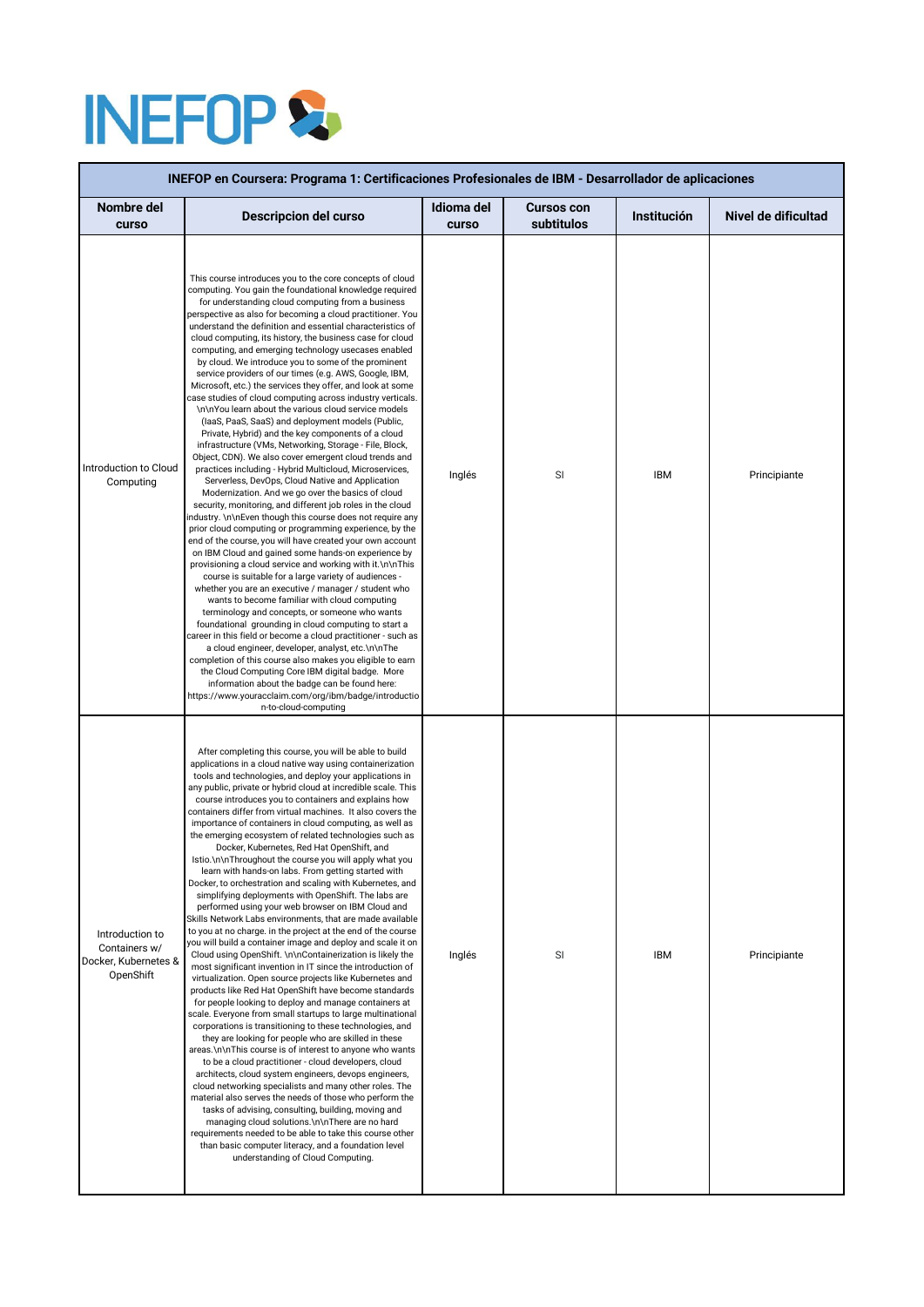## **INEFOP &**

| INEFOP en Coursera: Programa 1: Certificaciones Profesionales de IBM - Desarrollador de aplicaciones |                                                                                                                                                                                                                                                                                                                                                                                                                                                                                                                                                                                                                                                                                                                                                                                                                                                                                                                                                                                                                                                                                                                                                                                                                                                                                                                                                                                                                                                                                                                                                                                                                                                                                                                                                                                                                                                                                                                                                                                                                                                                                                                                                                |                            |                                 |                    |                     |
|------------------------------------------------------------------------------------------------------|----------------------------------------------------------------------------------------------------------------------------------------------------------------------------------------------------------------------------------------------------------------------------------------------------------------------------------------------------------------------------------------------------------------------------------------------------------------------------------------------------------------------------------------------------------------------------------------------------------------------------------------------------------------------------------------------------------------------------------------------------------------------------------------------------------------------------------------------------------------------------------------------------------------------------------------------------------------------------------------------------------------------------------------------------------------------------------------------------------------------------------------------------------------------------------------------------------------------------------------------------------------------------------------------------------------------------------------------------------------------------------------------------------------------------------------------------------------------------------------------------------------------------------------------------------------------------------------------------------------------------------------------------------------------------------------------------------------------------------------------------------------------------------------------------------------------------------------------------------------------------------------------------------------------------------------------------------------------------------------------------------------------------------------------------------------------------------------------------------------------------------------------------------------|----------------------------|---------------------------------|--------------------|---------------------|
| Nombre del<br><b>CUISO</b>                                                                           | <b>Descripcion del curso</b>                                                                                                                                                                                                                                                                                                                                                                                                                                                                                                                                                                                                                                                                                                                                                                                                                                                                                                                                                                                                                                                                                                                                                                                                                                                                                                                                                                                                                                                                                                                                                                                                                                                                                                                                                                                                                                                                                                                                                                                                                                                                                                                                   | Idioma del<br><b>CUISO</b> | <b>Cursos con</b><br>subtitulos | <b>Institución</b> | Nivel de dificultad |
| Introduction to Cloud<br>Computing                                                                   | This course introduces you to the core concepts of cloud<br>computing. You gain the foundational knowledge required<br>for understanding cloud computing from a business<br>perspective as also for becoming a cloud practitioner. You<br>understand the definition and essential characteristics of<br>cloud computing, its history, the business case for cloud<br>computing, and emerging technology usecases enabled<br>by cloud. We introduce you to some of the prominent<br>service providers of our times (e.g. AWS, Google, IBM,<br>Microsoft, etc.) the services they offer, and look at some<br>case studies of cloud computing across industry verticals.<br>\n\nYou learn about the various cloud service models<br>(laaS, PaaS, SaaS) and deployment models (Public,<br>Private, Hybrid) and the key components of a cloud<br>infrastructure (VMs, Networking, Storage - File, Block,<br>Object, CDN). We also cover emergent cloud trends and<br>practices including - Hybrid Multicloud, Microservices,<br>Serverless, DevOps, Cloud Native and Application<br>Modernization. And we go over the basics of cloud<br>security, monitoring, and different job roles in the cloud<br>industry. \n\nEven though this course does not require any<br>prior cloud computing or programming experience, by the<br>end of the course, you will have created your own account<br>on IBM Cloud and gained some hands-on experience by<br>provisioning a cloud service and working with it.\n\nThis<br>course is suitable for a large variety of audiences -<br>whether you are an executive / manager / student who<br>wants to become familiar with cloud computing<br>terminology and concepts, or someone who wants<br>foundational grounding in cloud computing to start a<br>career in this field or become a cloud practitioner - such as<br>a cloud engineer, developer, analyst, etc.\n\nThe<br>completion of this course also makes you eligible to earn<br>the Cloud Computing Core IBM digital badge. More<br>information about the badge can be found here:<br>https://www.youracclaim.com/org/ibm/badge/introductio<br>n-to-cloud-computing | Inglés                     | SI                              | <b>IBM</b>         | Principiante        |
| Introduction to<br>Containers w/<br>Docker, Kubernetes &<br>OpenShift                                | After completing this course, you will be able to build<br>applications in a cloud native way using containerization<br>tools and technologies, and deploy your applications in<br>any public, private or hybrid cloud at incredible scale. This<br>course introduces you to containers and explains how<br>containers differ from virtual machines. It also covers the<br>importance of containers in cloud computing, as well as<br>the emerging ecosystem of related technologies such as<br>Docker, Kubernetes, Red Hat OpenShift, and<br>Istio.\n\nThroughout the course you will apply what you<br>learn with hands-on labs. From getting started with<br>Docker, to orchestration and scaling with Kubernetes, and<br>simplifying deployments with OpenShift. The labs are<br>performed using your web browser on IBM Cloud and<br>Skills Network Labs environments, that are made available<br>to you at no charge. in the project at the end of the course<br>you will build a container image and deploy and scale it on<br>Cloud using OpenShift. \n\nContainerization is likely the<br>most significant invention in IT since the introduction of<br>virtualization. Open source projects like Kubernetes and<br>products like Red Hat OpenShift have become standards<br>for people looking to deploy and manage containers at<br>scale. Everyone from small startups to large multinational<br>corporations is transitioning to these technologies, and<br>they are looking for people who are skilled in these<br>areas.\n\nThis course is of interest to anyone who wants<br>to be a cloud practitioner - cloud developers, cloud<br>architects, cloud system engineers, devops engineers,<br>cloud networking specialists and many other roles. The<br>material also serves the needs of those who perform the<br>tasks of advising, consulting, building, moving and<br>managing cloud solutions.\n\nThere are no hard<br>requirements needed to be able to take this course other<br>than basic computer literacy, and a foundation level<br>understanding of Cloud Computing.                                                              | Inglés                     | SI                              | <b>IBM</b>         | Principiante        |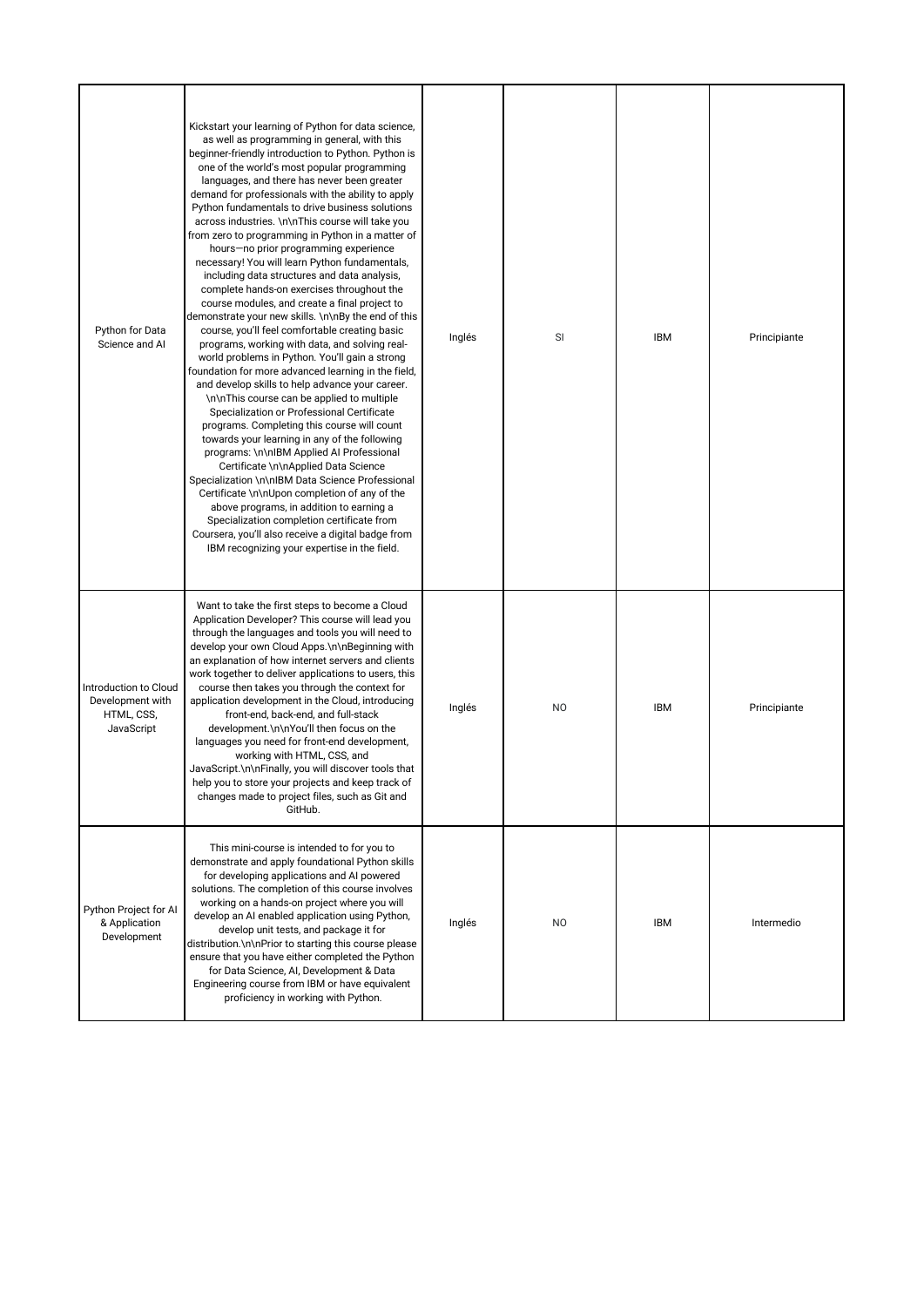| Python for Data<br>Science and Al                                     | Kickstart your learning of Python for data science,<br>as well as programming in general, with this<br>beginner-friendly introduction to Python. Python is<br>one of the world's most popular programming<br>languages, and there has never been greater<br>demand for professionals with the ability to apply<br>Python fundamentals to drive business solutions<br>across industries. \n\nThis course will take you<br>from zero to programming in Python in a matter of<br>hours-no prior programming experience<br>necessary! You will learn Python fundamentals,<br>including data structures and data analysis,<br>complete hands-on exercises throughout the<br>course modules, and create a final project to<br>demonstrate your new skills. \n\nBy the end of this<br>course, you'll feel comfortable creating basic<br>programs, working with data, and solving real-<br>world problems in Python. You'll gain a strong<br>foundation for more advanced learning in the field,<br>and develop skills to help advance your career.<br>\n\nThis course can be applied to multiple<br>Specialization or Professional Certificate<br>programs. Completing this course will count<br>towards your learning in any of the following<br>programs: \n\nlBM Applied AI Professional<br>Certificate \n\nApplied Data Science<br>Specialization \n\nlBM Data Science Professional<br>Certificate \n\nUpon completion of any of the<br>above programs, in addition to earning a<br>Specialization completion certificate from<br>Coursera, you'll also receive a digital badge from<br>IBM recognizing your expertise in the field. | Inglés | SI             | <b>IBM</b> | Principiante |
|-----------------------------------------------------------------------|-----------------------------------------------------------------------------------------------------------------------------------------------------------------------------------------------------------------------------------------------------------------------------------------------------------------------------------------------------------------------------------------------------------------------------------------------------------------------------------------------------------------------------------------------------------------------------------------------------------------------------------------------------------------------------------------------------------------------------------------------------------------------------------------------------------------------------------------------------------------------------------------------------------------------------------------------------------------------------------------------------------------------------------------------------------------------------------------------------------------------------------------------------------------------------------------------------------------------------------------------------------------------------------------------------------------------------------------------------------------------------------------------------------------------------------------------------------------------------------------------------------------------------------------------------------------------------------------------------------------------------------|--------|----------------|------------|--------------|
| Introduction to Cloud<br>Development with<br>HTML, CSS,<br>JavaScript | Want to take the first steps to become a Cloud<br>Application Developer? This course will lead you<br>through the languages and tools you will need to<br>develop your own Cloud Apps. \n\nBeginning with<br>an explanation of how internet servers and clients<br>work together to deliver applications to users, this<br>course then takes you through the context for<br>application development in the Cloud, introducing<br>front-end, back-end, and full-stack<br>development.\n\nYou'll then focus on the<br>languages you need for front-end development,<br>working with HTML, CSS, and<br>JavaScript.\n\nFinally, you will discover tools that<br>help you to store your projects and keep track of<br>changes made to project files, such as Git and<br>GitHub.                                                                                                                                                                                                                                                                                                                                                                                                                                                                                                                                                                                                                                                                                                                                                                                                                                                        | Inglés | N <sub>O</sub> | <b>IBM</b> | Principiante |
| Python Project for AI<br>& Application<br>Development                 | This mini-course is intended to for you to<br>demonstrate and apply foundational Python skills<br>for developing applications and AI powered<br>solutions. The completion of this course involves<br>working on a hands-on project where you will<br>develop an AI enabled application using Python,<br>develop unit tests, and package it for<br>distribution.\n\nPrior to starting this course please<br>ensure that you have either completed the Python<br>for Data Science, AI, Development & Data<br>Engineering course from IBM or have equivalent<br>proficiency in working with Python.                                                                                                                                                                                                                                                                                                                                                                                                                                                                                                                                                                                                                                                                                                                                                                                                                                                                                                                                                                                                                                  | Inglés | N <sub>O</sub> | <b>IBM</b> | Intermedio   |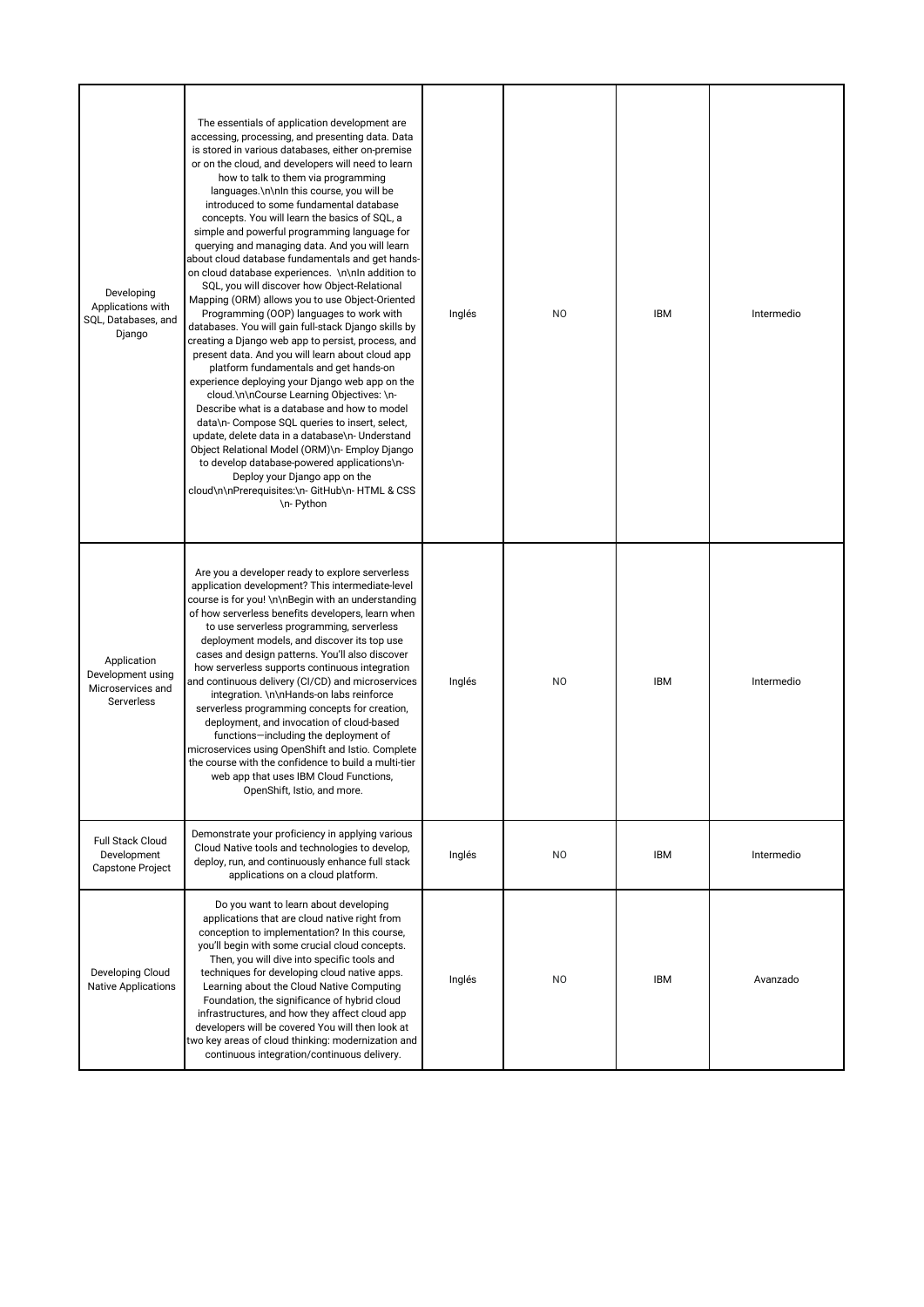| Developing<br>Applications with<br>SQL, Databases, and<br>Django    | The essentials of application development are<br>accessing, processing, and presenting data. Data<br>is stored in various databases, either on-premise<br>or on the cloud, and developers will need to learn<br>how to talk to them via programming<br>languages.\n\nln this course, you will be<br>introduced to some fundamental database<br>concepts. You will learn the basics of SQL, a<br>simple and powerful programming language for<br>querying and managing data. And you will learn<br>about cloud database fundamentals and get hands-<br>on cloud database experiences. \n\nln addition to<br>SQL, you will discover how Object-Relational<br>Mapping (ORM) allows you to use Object-Oriented<br>Programming (OOP) languages to work with<br>databases. You will gain full-stack Django skills by<br>creating a Django web app to persist, process, and<br>present data. And you will learn about cloud app<br>platform fundamentals and get hands-on<br>experience deploying your Django web app on the<br>cloud.\n\nCourse Learning Objectives: \n-<br>Describe what is a database and how to model<br>data\n- Compose SQL queries to insert, select,<br>update, delete data in a database\n- Understand<br>Object Relational Model (ORM)\n- Employ Django<br>to develop database-powered applications\n-<br>Deploy your Django app on the<br>cloud\n\nPrerequisites:\n- GitHub\n- HTML & CSS<br>\n- Python | Inglés | N <sub>O</sub> | <b>IBM</b> | Intermedio |
|---------------------------------------------------------------------|----------------------------------------------------------------------------------------------------------------------------------------------------------------------------------------------------------------------------------------------------------------------------------------------------------------------------------------------------------------------------------------------------------------------------------------------------------------------------------------------------------------------------------------------------------------------------------------------------------------------------------------------------------------------------------------------------------------------------------------------------------------------------------------------------------------------------------------------------------------------------------------------------------------------------------------------------------------------------------------------------------------------------------------------------------------------------------------------------------------------------------------------------------------------------------------------------------------------------------------------------------------------------------------------------------------------------------------------------------------------------------------------------------------------------|--------|----------------|------------|------------|
| Application<br>Development using<br>Microservices and<br>Serverless | Are you a developer ready to explore serverless<br>application development? This intermediate-level<br>course is for you! \n\nBegin with an understanding<br>of how serverless benefits developers, learn when<br>to use serverless programming, serverless<br>deployment models, and discover its top use<br>cases and design patterns. You'll also discover<br>how serverless supports continuous integration<br>and continuous delivery (CI/CD) and microservices<br>integration. \n\nHands-on labs reinforce<br>serverless programming concepts for creation.<br>deployment, and invocation of cloud-based<br>functions-including the deployment of<br>microservices using OpenShift and Istio. Complete<br>the course with the confidence to build a multi-tier<br>web app that uses IBM Cloud Functions,<br>OpenShift, Istio, and more.                                                                                                                                                                                                                                                                                                                                                                                                                                                                                                                                                                              | Inglés | N <sub>O</sub> | <b>IBM</b> | Intermedio |
| <b>Full Stack Cloud</b><br>Development<br>Capstone Project          | Demonstrate your proficiency in applying various<br>Cloud Native tools and technologies to develop,<br>deploy, run, and continuously enhance full stack<br>applications on a cloud platform.                                                                                                                                                                                                                                                                                                                                                                                                                                                                                                                                                                                                                                                                                                                                                                                                                                                                                                                                                                                                                                                                                                                                                                                                                               | Inglés | NO.            | IBM        | Intermedio |
| Developing Cloud<br><b>Native Applications</b>                      | Do you want to learn about developing<br>applications that are cloud native right from<br>conception to implementation? In this course,<br>you'll begin with some crucial cloud concepts.<br>Then, you will dive into specific tools and<br>techniques for developing cloud native apps.<br>Learning about the Cloud Native Computing<br>Foundation, the significance of hybrid cloud<br>infrastructures, and how they affect cloud app<br>developers will be covered You will then look at<br>two key areas of cloud thinking: modernization and<br>continuous integration/continuous delivery.                                                                                                                                                                                                                                                                                                                                                                                                                                                                                                                                                                                                                                                                                                                                                                                                                           | Inglés | N <sub>O</sub> | <b>IBM</b> | Avanzado   |